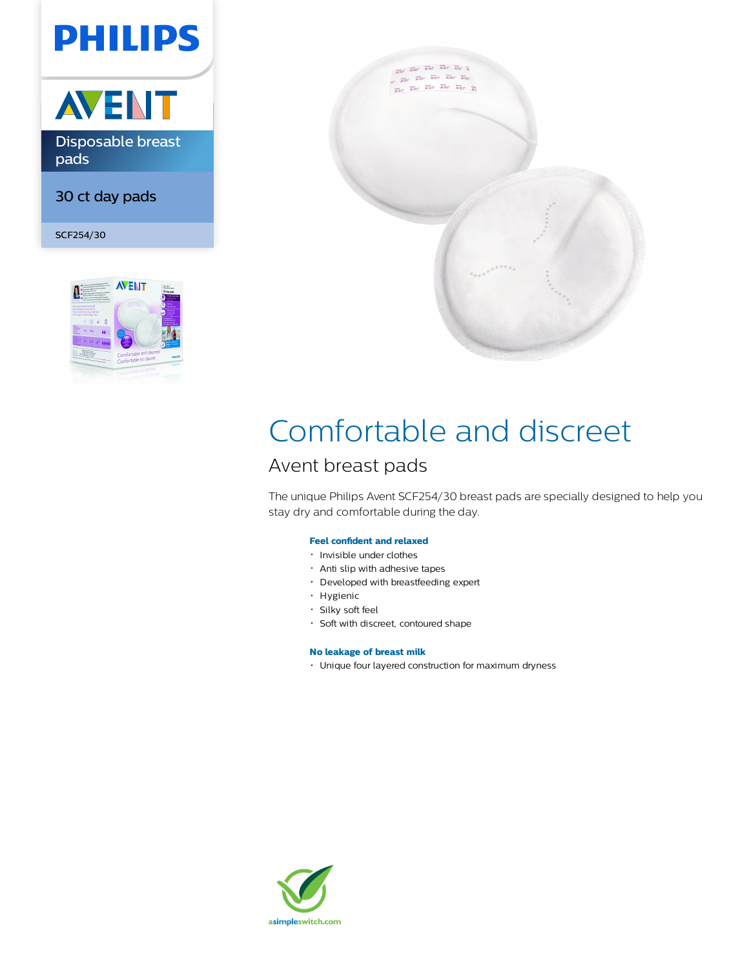# **PHILIPS**



Disposable breast pads

30 ct day pads

SCF254/30





## Comfortable and discreet

## Avent breast pads

The unique Philips Avent SCF254/30 breast pads are specially designed to help you stay dry and comfortable during the day.

## **Feel confident and relaxed**

- Invisible under clothes
- Anti slip with adhesive tapes
- Developed with breastfeeding expert
- Hygienic
- Silky soft feel
- Soft with discreet, contoured shape

## **No leakage of breast milk**

Unique four layered construction for maximum dryness